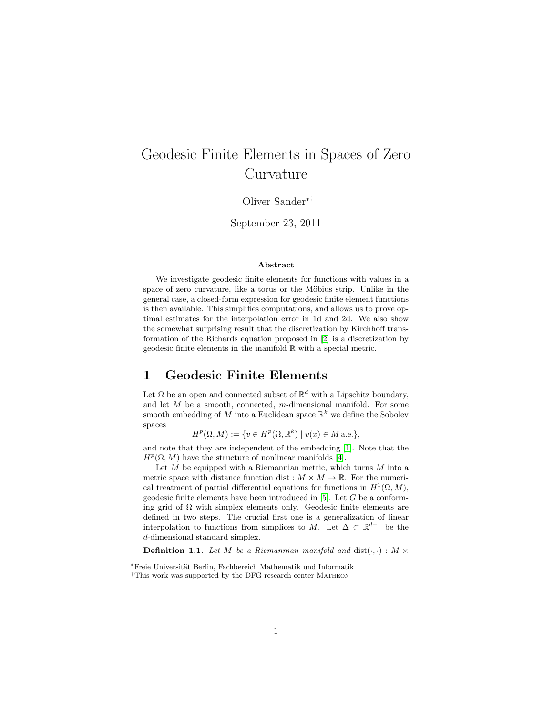# Geodesic Finite Elements in Spaces of Zero Curvature

Oliver Sander∗†

September 23, 2011

#### Abstract

We investigate geodesic finite elements for functions with values in a space of zero curvature, like a torus or the Möbius strip. Unlike in the general case, a closed-form expression for geodesic finite element functions is then available. This simplifies computations, and allows us to prove optimal estimates for the interpolation error in 1d and 2d. We also show the somewhat surprising result that the discretization by Kirchhoff transformation of the Richards equation proposed in [\[2\]](#page-7-0) is a discretization by geodesic finite elements in the manifold R with a special metric.

#### 1 Geodesic Finite Elements

Let  $\Omega$  be an open and connected subset of  $\mathbb{R}^d$  with a Lipschitz boundary, and let M be a smooth, connected, m-dimensional manifold. For some smooth embedding of M into a Euclidean space  $\mathbb{R}^k$  we define the Sobolev spaces

 $H^p(\Omega, M) := \{ v \in H^p(\Omega, \mathbb{R}^k) \mid v(x) \in M \text{ a.e.} \},$ 

and note that they are independent of the embedding [\[1\]](#page-7-1). Note that the  $H^p(\Omega, M)$  have the structure of nonlinear manifolds [\[4\]](#page-7-2).

Let  $M$  be equipped with a Riemannian metric, which turns  $M$  into a metric space with distance function dist :  $M \times M \to \mathbb{R}$ . For the numerical treatment of partial differential equations for functions in  $H^1(\Omega, M)$ , geodesic finite elements have been introduced in  $[5]$ . Let G be a conforming grid of  $\Omega$  with simplex elements only. Geodesic finite elements are defined in two steps. The crucial first one is a generalization of linear interpolation to functions from simplices to M. Let  $\Delta \subset \mathbb{R}^{d+1}$  be the d-dimensional standard simplex.

**Definition 1.1.** Let M be a Riemannian manifold and  $dist(\cdot, \cdot) : M \times$ 

<sup>∗</sup>Freie Universit¨at Berlin, Fachbereich Mathematik und Informatik

 $^\dagger\text{This work was supported by the DFG research center MATHEON}$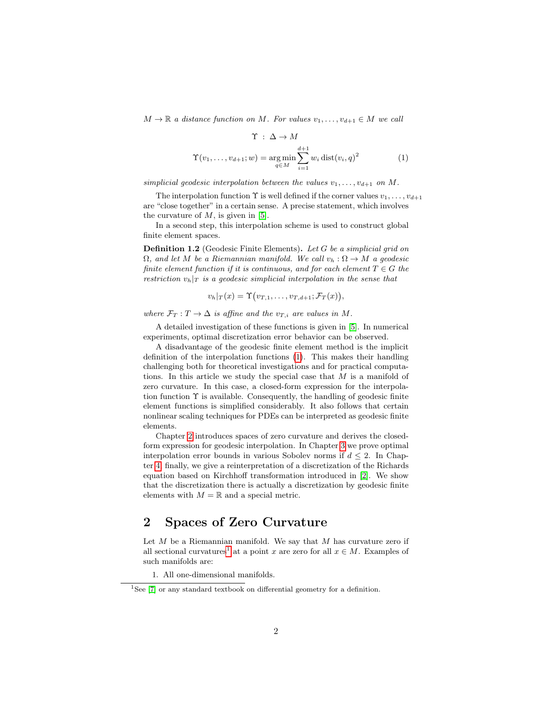$M \to \mathbb{R}$  a distance function on M. For values  $v_1, \ldots, v_{d+1} \in M$  we call

<span id="page-1-0"></span>
$$
\Upsilon : \Delta \to M
$$
  

$$
\Upsilon(v_1, \dots, v_{d+1}; w) = \underset{q \in M}{\arg \min} \sum_{i=1}^{d+1} w_i \operatorname{dist}(v_i, q)^2
$$
(1)

simplicial geodesic interpolation between the values  $v_1, \ldots, v_{d+1}$  on M.

The interpolation function  $\Upsilon$  is well defined if the corner values  $v_1, \ldots, v_{d+1}$ are "close together" in a certain sense. A precise statement, which involves the curvature of  $M$ , is given in [\[5\]](#page-7-3).

In a second step, this interpolation scheme is used to construct global finite element spaces.

Definition 1.2 (Geodesic Finite Elements). Let G be a simplicial grid on  $\Omega$ , and let M be a Riemannian manifold. We call  $v_h : \Omega \to M$  a geodesic finite element function if it is continuous, and for each element  $T \in G$  the restriction  $v_h|_T$  is a geodesic simplicial interpolation in the sense that

$$
v_h|_T(x) = \Upsilon(v_{T,1},\ldots,v_{T,d+1};\mathcal{F}_T(x)),
$$

where  $\mathcal{F}_T : T \to \Delta$  is affine and the  $v_{T,i}$  are values in M.

A detailed investigation of these functions is given in [\[5\]](#page-7-3). In numerical experiments, optimal discretization error behavior can be observed.

A disadvantage of the geodesic finite element method is the implicit definition of the interpolation functions [\(1\)](#page-1-0). This makes their handling challenging both for theoretical investigations and for practical computations. In this article we study the special case that M is a manifold of zero curvature. In this case, a closed-form expression for the interpolation function  $\Upsilon$  is available. Consequently, the handling of geodesic finite element functions is simplified considerably. It also follows that certain nonlinear scaling techniques for PDEs can be interpreted as geodesic finite elements.

Chapter [2](#page-1-1) introduces spaces of zero curvature and derives the closedform expression for geodesic interpolation. In Chapter [3](#page-3-0) we prove optimal interpolation error bounds in various Sobolev norms if  $d \leq 2$ . In Chapter [4,](#page-5-0) finally, we give a reinterpretation of a discretization of the Richards equation based on Kirchhoff transformation introduced in [\[2\]](#page-7-0). We show that the discretization there is actually a discretization by geodesic finite elements with  $M = \mathbb{R}$  and a special metric.

# <span id="page-1-1"></span>2 Spaces of Zero Curvature

Let  $M$  be a Riemannian manifold. We say that  $M$  has curvature zero if all sectional curvatures<sup>[1](#page-1-2)</sup> at a point x are zero for all  $x \in M$ . Examples of such manifolds are:

1. All one-dimensional manifolds.

<span id="page-1-2"></span><sup>&</sup>lt;sup>1</sup>See  $[7]$  or any standard textbook on differential geometry for a definition.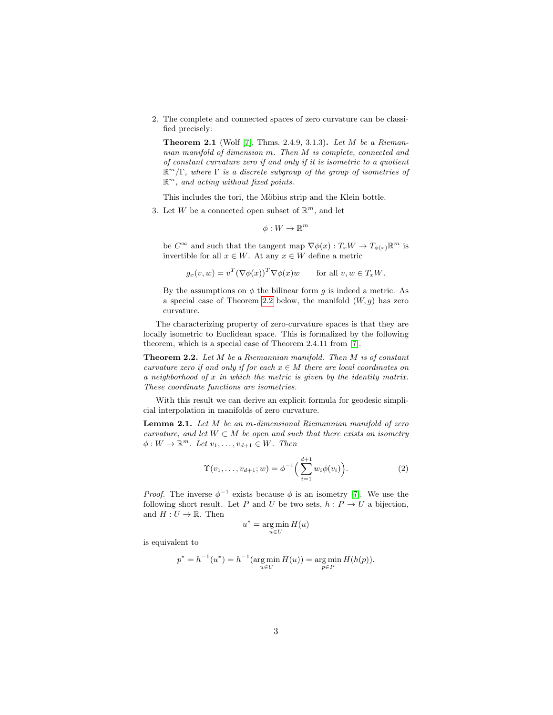2. The complete and connected spaces of zero curvature can be classified precisely:

**Theorem 2.1** (Wolf [\[7\]](#page-7-4), Thms. 2.4.9, 3.1.3). Let  $M$  be a Riemannian manifold of dimension m. Then M is complete, connected and of constant curvature zero if and only if it is isometric to a quotient  $\mathbb{R}^m/\Gamma$ , where  $\Gamma$  is a discrete subgroup of the group of isometries of  $\mathbb{R}^m$ , and acting without fixed points.

This includes the tori, the Möbius strip and the Klein bottle.

3. Let W be a connected open subset of  $\mathbb{R}^m$ , and let

 $\phi:W\to\mathbb{R}^m$ 

be  $C^{\infty}$  and such that the tangent map  $\nabla \phi(x) : T_x W \to T_{\phi(x)} \mathbb{R}^m$  is invertible for all  $x \in W$ . At any  $x \in W$  define a metric

$$
g_x(v, w) = v^T (\nabla \phi(x))^T \nabla \phi(x) w \quad \text{for all } v, w \in T_x W.
$$

By the assumptions on  $\phi$  the bilinear form q is indeed a metric. As a special case of Theorem [2.2](#page-2-0) below, the manifold  $(W, q)$  has zero curvature.

The characterizing property of zero-curvature spaces is that they are locally isometric to Euclidean space. This is formalized by the following theorem, which is a special case of Theorem 2.4.11 from [\[7\]](#page-7-4).

<span id="page-2-0"></span>**Theorem 2.2.** Let  $M$  be a Riemannian manifold. Then  $M$  is of constant curvature zero if and only if for each  $x \in M$  there are local coordinates on a neighborhood of  $x$  in which the metric is given by the identity matrix. These coordinate functions are isometries.

With this result we can derive an explicit formula for geodesic simplicial interpolation in manifolds of zero curvature.

<span id="page-2-2"></span>**Lemma 2.1.** Let  $M$  be an m-dimensional Riemannian manifold of zero curvature, and let  $W \subset M$  be open and such that there exists an isometry  $\phi: W \to \mathbb{R}^m$ . Let  $v_1, \ldots, v_{d+1} \in W$ . Then

<span id="page-2-1"></span>
$$
\Upsilon(v_1,\ldots,v_{d+1};w) = \phi^{-1}\Big(\sum_{i=1}^{d+1} w_i \phi(v_i)\Big). \tag{2}
$$

*Proof.* The inverse  $\phi^{-1}$  exists because  $\phi$  is an isometry [\[7\]](#page-7-4). We use the following short result. Let P and U be two sets,  $h: P \to U$  a bijection, and  $H: U \to \mathbb{R}$ . Then

$$
u^* = \operatorname*{arg\,min}_{u \in U} H(u)
$$

is equivalent to

$$
p^* = h^{-1}(u^*) = h^{-1}(\argmin_{u \in U} H(u)) = \argmin_{p \in P} H(h(p)).
$$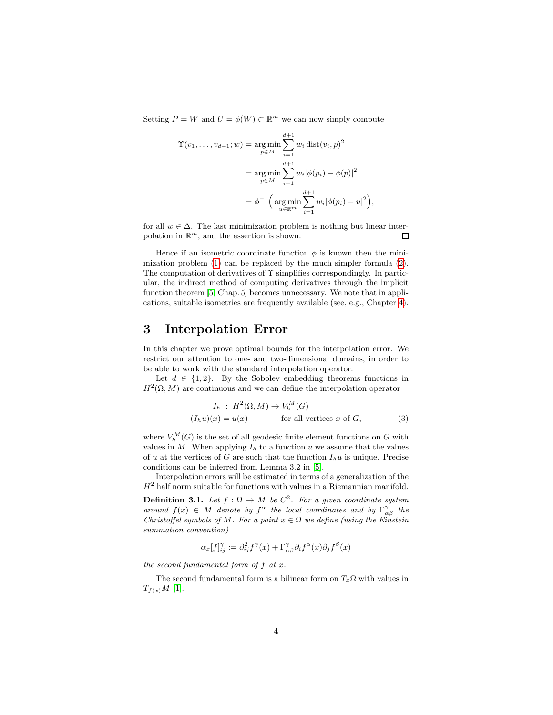Setting  $P = W$  and  $U = \phi(W) \subset \mathbb{R}^m$  we can now simply compute

$$
\begin{aligned} \Upsilon(v_1, \dots, v_{d+1}; w) &= \argmin_{p \in M} \sum_{i=1}^{d+1} w_i \operatorname{dist}(v_i, p)^2 \\ &= \argmin_{p \in M} \sum_{i=1}^{d+1} w_i |\phi(p_i) - \phi(p)|^2 \\ &= \phi^{-1} \Big( \operatorname*{arg\,min}_{u \in \mathbb{R}^m} \sum_{i=1}^{d+1} w_i |\phi(p_i) - u|^2 \Big) \end{aligned}
$$

for all  $w \in \Delta$ . The last minimization problem is nothing but linear interpolation in  $\mathbb{R}^m$ , and the assertion is shown.  $\Box$ 

,

Hence if an isometric coordinate function  $\phi$  is known then the minimization problem [\(1\)](#page-1-0) can be replaced by the much simpler formula [\(2\)](#page-2-1). The computation of derivatives of  $\Upsilon$  simplifies correspondingly. In particular, the indirect method of computing derivatives through the implicit function theorem [\[5,](#page-7-3) Chap. 5] becomes unnecessary. We note that in applications, suitable isometries are frequently available (see, e.g., Chapter [4\)](#page-5-0).

## <span id="page-3-0"></span>3 Interpolation Error

In this chapter we prove optimal bounds for the interpolation error. We restrict our attention to one- and two-dimensional domains, in order to be able to work with the standard interpolation operator.

Let  $d \in \{1, 2\}$ . By the Sobolev embedding theorems functions in  $H^2(\Omega, M)$  are continuous and we can define the interpolation operator

<span id="page-3-1"></span>
$$
I_h : H^2(\Omega, M) \to V_h^M(G)
$$
  
( $I_h u$ )( $x$ ) =  $u(x)$  for all vertices  $x$  of  $G$ , (3)

where  $V_h^M(G)$  is the set of all geodesic finite element functions on G with values in  $M$ . When applying  $I<sub>h</sub>$  to a function u we assume that the values of u at the vertices of G are such that the function  $I_h u$  is unique. Precise conditions can be inferred from Lemma 3.2 in [\[5\]](#page-7-3).

Interpolation errors will be estimated in terms of a generalization of the  $H<sup>2</sup>$  half norm suitable for functions with values in a Riemannian manifold.

**Definition 3.1.** Let  $f : \Omega \to M$  be  $C^2$ . For a given coordinate system around  $f(x) \in M$  denote by  $f^{\alpha}$  the local coordinates and by  $\Gamma^{\gamma}_{\alpha\beta}$  the Christoffel symbols of M. For a point  $x \in \Omega$  we define (using the Einstein summation convention)

$$
\alpha_x[f]^\gamma_{ij} \coloneqq \partial^2_{ij} f^\gamma(x) + \Gamma^\gamma_{\alpha\beta} \partial_i f^\alpha(x) \partial_j f^\beta(x)
$$

the second fundamental form of  $f$  at  $x$ .

The second fundamental form is a bilinear form on  $T_x\Omega$  with values in  $T_{f(x)}M$  [\[1\]](#page-7-1).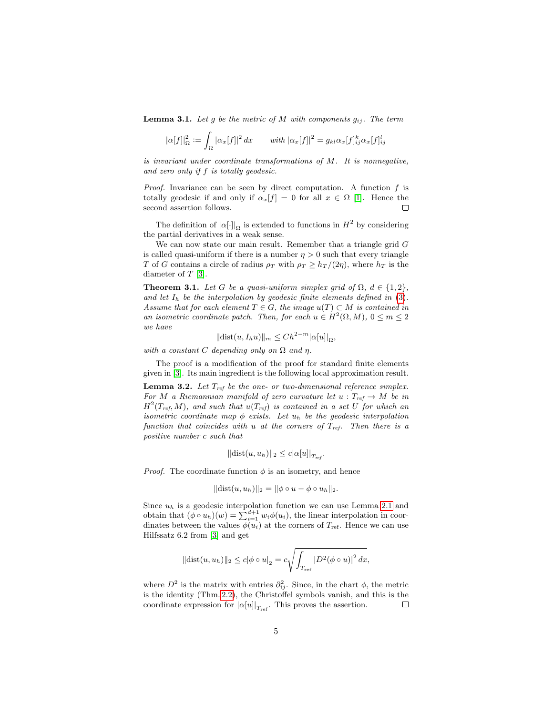**Lemma 3.1.** Let g be the metric of M with components  $g_{ij}$ . The term

$$
|\alpha[f]|_{\Omega}^2 := \int_{\Omega} |\alpha_x[f]|^2 dx \quad \text{with } |\alpha_x[f]|^2 = g_{kl}\alpha_x[f]_{ij}^k \alpha_x[f]_{ij}^l
$$

is invariant under coordinate transformations of M. It is nonnegative, and zero only if f is totally geodesic.

*Proof.* Invariance can be seen by direct computation. A function  $f$  is totally geodesic if and only if  $\alpha_x[f] = 0$  for all  $x \in \Omega$  [\[1\]](#page-7-1). Hence the second assertion follows.  $\Box$ 

The definition of  $|\alpha[\cdot]|_{\Omega}$  is extended to functions in  $H^2$  by considering the partial derivatives in a weak sense.

We can now state our main result. Remember that a triangle grid  $G$ is called quasi-uniform if there is a number  $\eta > 0$  such that every triangle T of G contains a circle of radius  $\rho_T$  with  $\rho_T \geq h_T/(2\eta)$ , where  $h_T$  is the diameter of  $T$  [\[3\]](#page-7-5).

<span id="page-4-0"></span>**Theorem 3.1.** Let G be a quasi-uniform simplex grid of  $\Omega$ ,  $d \in \{1,2\}$ , and let  $I_h$  be the interpolation by geodesic finite elements defined in [\(3\)](#page-3-1). Assume that for each element  $T \in G$ , the image  $u(T) \subset M$  is contained in an isometric coordinate patch. Then, for each  $u \in H^2(\Omega, M)$ ,  $0 \le m \le 2$ we have

$$
\|\mathrm{dist}(u, I_h u)\|_m \le Ch^{2-m} |\alpha[u]|_{\Omega},
$$

with a constant C depending only on  $\Omega$  and  $\eta$ .

The proof is a modification of the proof for standard finite elements given in [\[3\]](#page-7-5). Its main ingredient is the following local approximation result.

<span id="page-4-1"></span>**Lemma 3.2.** Let  $T_{ref}$  be the one- or two-dimensional reference simplex. For M a Riemannian manifold of zero curvature let  $u: T_{ref} \to M$  be in  $H^2(T_{ref}, M)$ , and such that  $u(T_{ref})$  is contained in a set U for which an isometric coordinate map  $\phi$  exists. Let  $u_h$  be the geodesic interpolation function that coincides with u at the corners of  $T_{ref}$ . Then there is a positive number c such that

$$
\|\text{dist}(u, u_h)\|_2 \leq c|\alpha[u]|_{T_{ref}}.
$$

*Proof.* The coordinate function  $\phi$  is an isometry, and hence

$$
\|\mathrm{dist}(u, u_h)\|_2 = \|\phi \circ u - \phi \circ u_h\|_2.
$$

Since  $u_h$  is a geodesic interpolation function we can use Lemma [2.1](#page-2-2) and obtain that  $(\phi \circ u_h)(w) = \sum_{i=1}^{d+1} w_i \phi(u_i)$ , the linear interpolation in coordinates between the values  $\phi(u_i)$  at the corners of  $T_{\text{ref}}$ . Hence we can use Hilfssatz 6.2 from [\[3\]](#page-7-5) and get

$$
||\text{dist}(u, u_h)||_2 \le c|\phi \circ u|_2 = c \sqrt{\int_{T_{\text{ref}}}|D^2(\phi \circ u)|^2 dx},
$$

where  $D^2$  is the matrix with entries  $\partial_{ij}^2$ . Since, in the chart  $\phi$ , the metric is the identity (Thm. [2.2\)](#page-2-0), the Christoffel symbols vanish, and this is the coordinate expression for  $|\alpha[u]|_{T_{\text{ref}}}$ . This proves the assertion.  $\Box$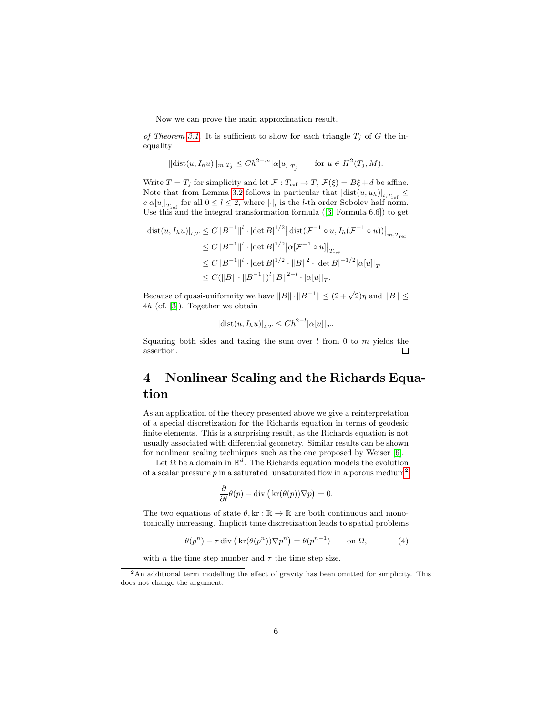Now we can prove the main approximation result.

of Theorem [3.1.](#page-4-0) It is sufficient to show for each triangle  $T_i$  of G the inequality

$$
\|\text{dist}(u, I_h u)\|_{m,T_j} \le Ch^{2-m} |\alpha[u]|_{T_j} \quad \text{for } u \in H^2(T_j, M).
$$

Write  $T = T_j$  for simplicity and let  $\mathcal{F} : T_{ref} \to T$ ,  $\mathcal{F}(\xi) = B\xi + d$  be affine. Note that from Lemma [3.2](#page-4-1) follows in particular that  $\left|\text{dist}(u, u_h)\right|_{l, T_{\text{ref}}} \leq$  $c|\alpha[u]|_{T_{\text{ref}}}$  for all  $0 \leq l \leq 2$ , where  $|\cdot|_l$  is the *l*-th order Sobolev half norm. Usethis and the integral transformation formula  $([3, \text{Formula } 6.6])$  $([3, \text{Formula } 6.6])$  $([3, \text{Formula } 6.6])$  to get

$$
\begin{split} |\text{dist}(u, I_h u)|_{l,T} &\leq C \|B^{-1}\|^{l} \cdot |\text{det } B|^{1/2} \big| \, \text{dist}(\mathcal{F}^{-1} \circ u, I_h(\mathcal{F}^{-1} \circ u)) \big|_{m, T_{\text{ref}}} \\ &\leq C \|B^{-1}\|^{l} \cdot |\text{det } B|^{1/2} \big| \alpha[\mathcal{F}^{-1} \circ u] \big|_{T_{\text{ref}}} \\ &\leq C \|B^{-1}\|^{l} \cdot |\text{det } B|^{1/2} \cdot \|B\|^2 \cdot |\text{det } B|^{-1/2} |\alpha[u]|_T \\ &\leq C (\|B\| \cdot \|B^{-1}\|)^l \|B\|^{2-l} \cdot |\alpha[u]|_T. \end{split}
$$

Because of quasi-uniformity we have  $||B|| \cdot ||B^{-1}|| \le (2 + \sqrt{2})\eta$  and  $||B|| \le$ 4h (cf. [\[3\]](#page-7-5)). Together we obtain

$$
\left|\operatorname{dist}(u, I_h u)\right|_{l,T} \le C h^{2-l} |\alpha[u]|_T.
$$

Squaring both sides and taking the sum over  $l$  from 0 to  $m$  yields the assertion.  $\Box$ 

# <span id="page-5-0"></span>4 Nonlinear Scaling and the Richards Equation

As an application of the theory presented above we give a reinterpretation of a special discretization for the Richards equation in terms of geodesic finite elements. This is a surprising result, as the Richards equation is not usually associated with differential geometry. Similar results can be shown for nonlinear scaling techniques such as the one proposed by Weiser [\[6\]](#page-7-6).

Let  $\Omega$  be a domain in  $\mathbb{R}^d$ . The Richards equation models the evolution of a scalar pressure  $p$  in a saturated–unsaturated flow in a porous medium<sup>[2](#page-5-1)</sup>

$$
\frac{\partial}{\partial t}\theta(p) - \text{div}\left(\text{kr}(\theta(p))\nabla p\right) = 0.
$$

The two equations of state  $\theta$ , kr :  $\mathbb{R} \to \mathbb{R}$  are both continuous and monotonically increasing. Implicit time discretization leads to spatial problems

<span id="page-5-2"></span>
$$
\theta(p^n) - \tau \operatorname{div} \left( \operatorname{kr}(\theta(p^n)) \nabla p^n \right) = \theta(p^{n-1}) \qquad \text{on } \Omega,\tag{4}
$$

with *n* the time step number and  $\tau$  the time step size.

<span id="page-5-1"></span><sup>&</sup>lt;sup>2</sup>An additional term modelling the effect of gravity has been omitted for simplicity. This does not change the argument.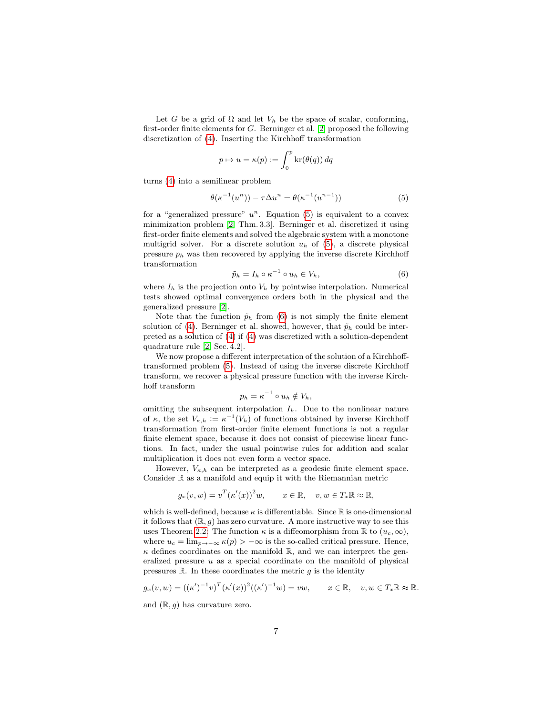Let G be a grid of  $\Omega$  and let  $V_h$  be the space of scalar, conforming, first-order finite elements for G. Berninger et al. [\[2\]](#page-7-0) proposed the following discretization of [\(4\)](#page-5-2). Inserting the Kirchhoff transformation

$$
p \mapsto u = \kappa(p) := \int_0^p \ker(\theta(q)) \, dq
$$

turns [\(4\)](#page-5-2) into a semilinear problem

<span id="page-6-0"></span>
$$
\theta(\kappa^{-1}(u^n)) - \tau \Delta u^n = \theta(\kappa^{-1}(u^{n-1}))
$$
\n(5)

for a "generalized pressure"  $u^n$ . Equation [\(5\)](#page-6-0) is equivalent to a convex minimization problem [\[2,](#page-7-0) Thm. 3.3]. Berninger et al. discretized it using first-order finite elements and solved the algebraic system with a monotone multigrid solver. For a discrete solution  $u_h$  of [\(5\)](#page-6-0), a discrete physical pressure  $p_h$  was then recovered by applying the inverse discrete Kirchhoff transformation

<span id="page-6-1"></span>
$$
\tilde{p}_h = I_h \circ \kappa^{-1} \circ u_h \in V_h,\tag{6}
$$

where  $I_h$  is the projection onto  $V_h$  by pointwise interpolation. Numerical tests showed optimal convergence orders both in the physical and the generalized pressure [\[2\]](#page-7-0).

Note that the function  $\tilde{p}_h$  from [\(6\)](#page-6-1) is not simply the finite element solution of [\(4\)](#page-5-2). Berninger et al. showed, however, that  $\tilde{p}_h$  could be interpreted as a solution of [\(4\)](#page-5-2) if [\(4\)](#page-5-2) was discretized with a solution-dependent quadrature rule [\[2,](#page-7-0) Sec. 4.2].

We now propose a different interpretation of the solution of a Kirchhofftransformed problem [\(5\)](#page-6-0). Instead of using the inverse discrete Kirchhoff transform, we recover a physical pressure function with the inverse Kirchhoff transform

$$
p_h = \kappa^{-1} \circ u_h \notin V_h,
$$

omitting the subsequent interpolation  $I<sub>h</sub>$ . Due to the nonlinear nature of  $\kappa$ , the set  $V_{\kappa,h} := \kappa^{-1}(V_h)$  of functions obtained by inverse Kirchhoff transformation from first-order finite element functions is not a regular finite element space, because it does not consist of piecewise linear functions. In fact, under the usual pointwise rules for addition and scalar multiplication it does not even form a vector space.

However,  $V_{\kappa,h}$  can be interpreted as a geodesic finite element space. Consider  $\mathbb R$  as a manifold and equip it with the Riemannian metric

$$
g_x(v, w) = v^T (\kappa'(x))^2 w, \qquad x \in \mathbb{R}, \quad v, w \in T_x \mathbb{R} \approx \mathbb{R},
$$

which is well-defined, because  $\kappa$  is differentiable. Since  $\mathbb R$  is one-dimensional it follows that  $(\mathbb{R}, g)$  has zero curvature. A more instructive way to see this uses Theorem [2.2:](#page-2-0) The function  $\kappa$  is a diffeomorphism from  $\mathbb R$  to  $(u_c, \infty)$ , where  $u_c = \lim_{p \to -\infty} \kappa(p) > -\infty$  is the so-called critical pressure. Hence,  $\kappa$  defines coordinates on the manifold  $\mathbb{R}$ , and we can interpret the generalized pressure  $u$  as a special coordinate on the manifold of physical pressures  $\mathbb R$ . In these coordinates the metric g is the identity

$$
g_x(v, w) = ((\kappa')^{-1}v)^T (\kappa'(x))^2 ((\kappa')^{-1}w) = vw, \qquad x \in \mathbb{R}, \quad v, w \in T_x \mathbb{R} \approx \mathbb{R}.
$$

and  $(\mathbb{R}, g)$  has curvature zero.